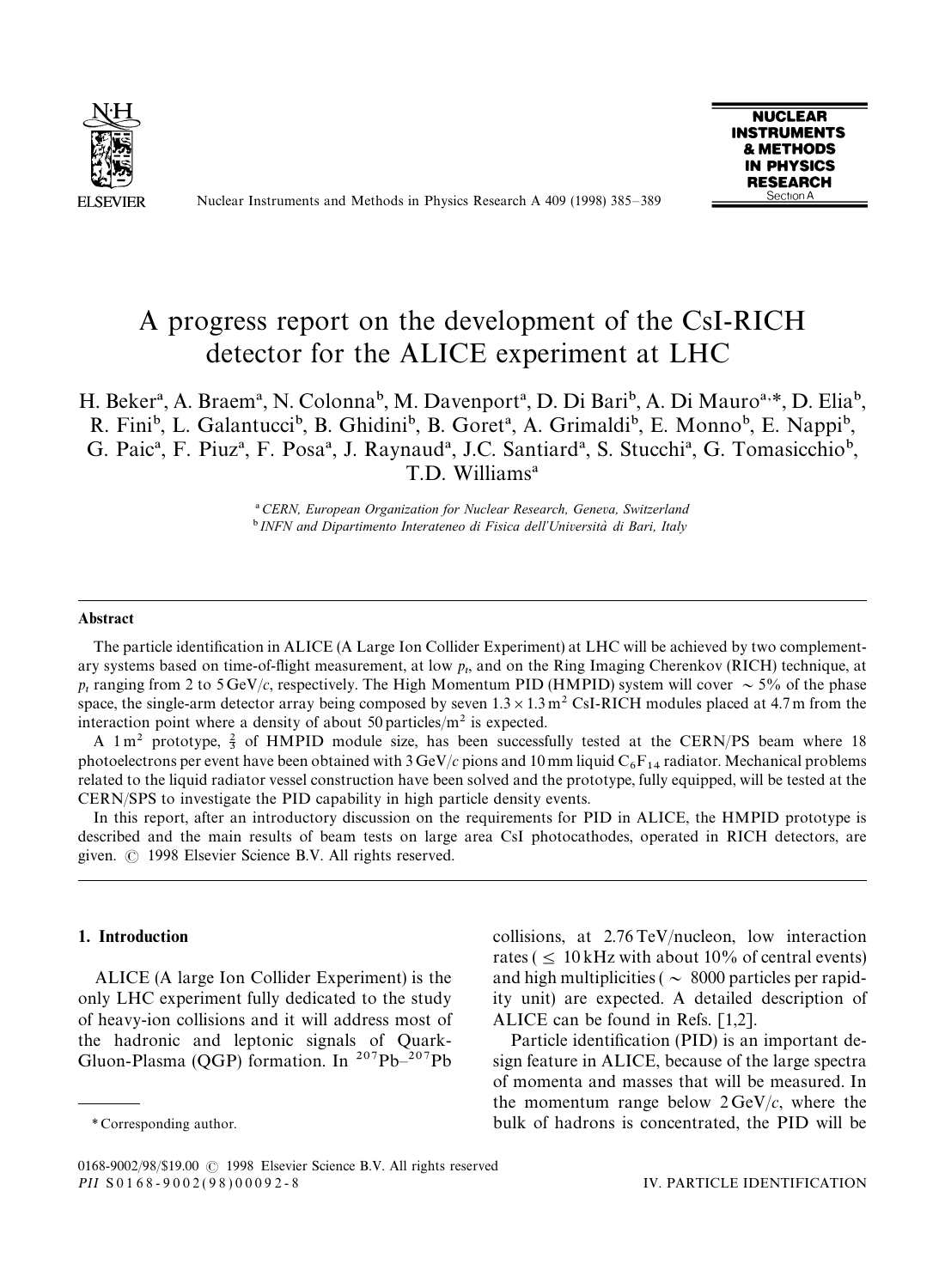

Nuclear Instruments and Methods in Physics Research A 409 (1998) 385*—*389



# A progress report on the development of the CsI-RICH detector for the ALICE experiment at LHC

# H. Beker<sup>a</sup>, A. Braem<sup>a</sup>, N. Colonna<sup>b</sup>, M. Davenport<sup>a</sup>, D. Di Bari<sup>b</sup>, A. Di Mauro<sup>a,\*</sup>, D. Elia<sup>b</sup>, R. Fini<sup>b</sup>, L. Galantucci<sup>b</sup>, B. Ghidini<sup>b</sup>, B. Goret<sup>a</sup>, A. Grimaldi<sup>b</sup>, E. Monno<sup>b</sup>, E. Nappi<sup>b</sup>, G. Paic<sup>a</sup>, F. Piuz<sup>a</sup>, F. Posa<sup>a</sup>, J. Raynaud<sup>a</sup>, J.C. Santiard<sup>a</sup>, S. Stucchi<sup>a</sup>, G. Tomasicchio<sup>b</sup>, T.D. Williams<sup>a</sup>

!*CERN, European Organization for Nuclear Research, Geneva, Switzerland* <sup>b</sup> INFN and Dipartimento Interateneo di Fisica dell'Università di Bari, Italy

#### **Abstract**

The particle identification in ALICE (A Large Ion Collider Experiment) at LHC will be achieved by two complementary systems based on time-of-flight measurement, at low  $p_t$ , and on the Ring Imaging Cherenkov (RICH) technique, at  $p_t$  ranging from 2 to 5 GeV/*c*, respectively. The High Momentum PID (HMPID) system will cover  $\sim$  5% of the phase space, the single-arm detector array being composed by seven  $1.3 \times 1.3$  m<sup>2</sup> CsI-RICH modules placed at 4.7 m from the interaction point where a density of about 50 particles/ $m<sup>2</sup>$  is expected.

A  $1 \text{ m}^2$  prototype,  $\frac{2}{3}$  of HMPID module size, has been successfully tested at the CERN/PS beam where 18 photoelectrons per event have been obtained with  $3 \text{ GeV}/c$  pions and 10 mm liquid  $C_6F_{14}$  radiator. Mechanical problems related to the liquid radiator vessel construction have been solved and the prototype, fully equipped, will be tested at the CERN/SPS to investigate the PID capability in high particle density events.

In this report, after an introductory discussion on the requirements for PID in ALICE, the HMPID prototype is described and the main results of beam tests on large area CsI photocathodes, operated in RICH detectors, are given.  $\odot$  1998 Elsevier Science B.V. All rights reserved.

# 1. Introduction

ALICE (A large Ion Collider Experiment) is the only LHC experiment fully dedicated to the study of heavy-ion collisions and it will address most of the hadronic and leptonic signals of Quark-Gluon-Plasma (QGP) formation. In 207Pb*—*207Pb collisions, at 2.76 TeV/nucleon, low interaction rates ( $\leq 10$  kHz with about 10% of central events) and high multiplicities ( $\sim 8000$  particles per rapidity unit) are expected. A detailed description of ALICE can be found in Refs. [1,2].

Particle identification (PID) is an important design feature in ALICE, because of the large spectra of momenta and masses that will be measured. In the momentum range below  $2 \text{GeV}/c$ , where the bulk of hadrons is concentrated, the PID will be

*<sup>\*</sup>* Corresponding author.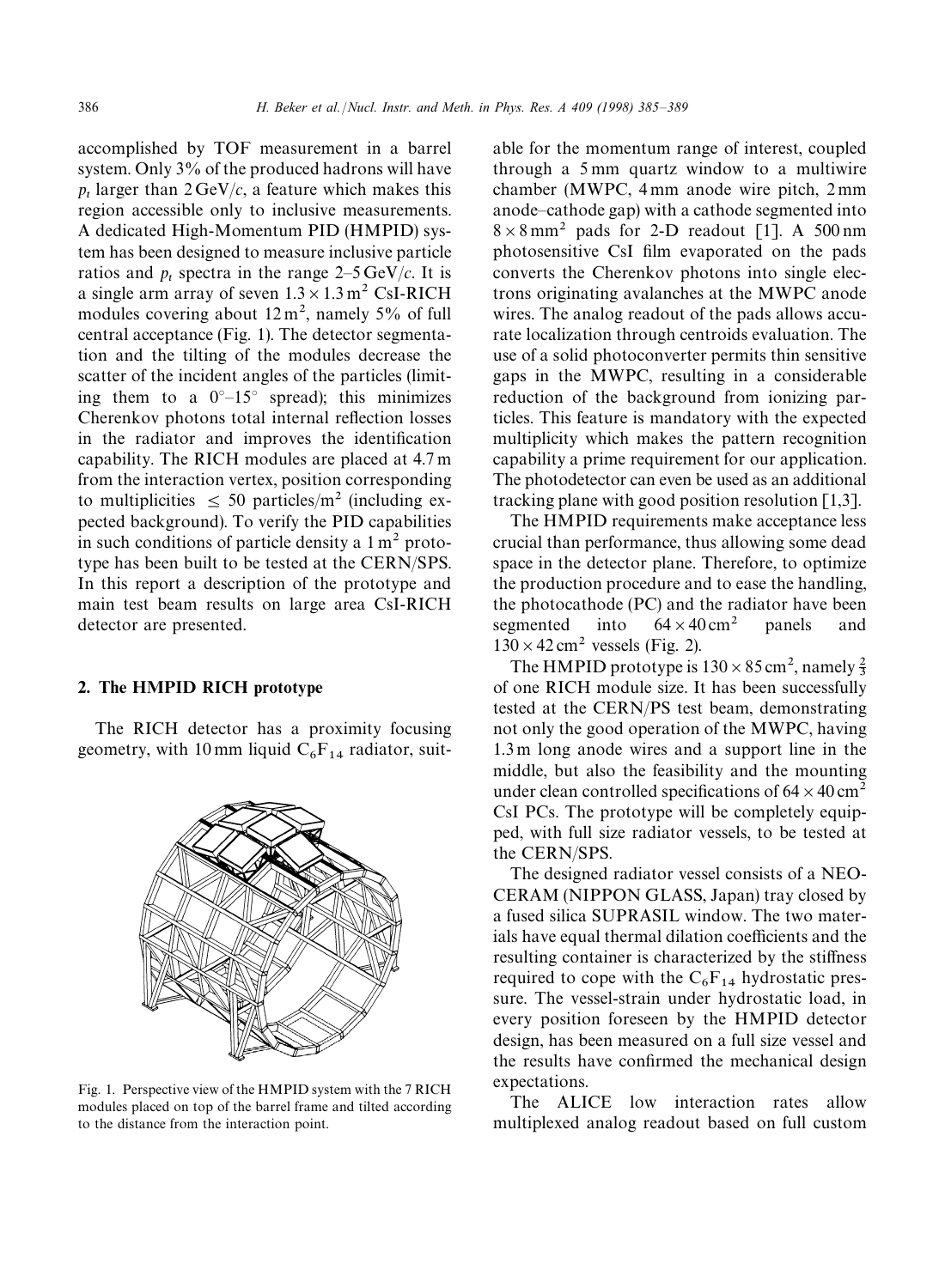accomplished by TOF measurement in a barrel system. Only 3% of the produced hadrons will have  $p_t$  larger than  $2 \text{ GeV}/c$ , a feature which makes this region accessible only to inclusive measurements. A dedicated High-Momentum PID (HMPID) system has been designed to measure inclusive particle ratios and  $p_t$  spectra in the range  $2-5 \text{ GeV}/c$ . It is a single arm array of seven  $1.3 \times 1.3$  m<sup>2</sup> CsI-RICH modules covering about  $12 \text{ m}^2$ , namely 5% of full central acceptance (Fig. 1). The detector segmentation and the tilting of the modules decrease the scatter of the incident angles of the particles (limiting them to a 0*°—*15*°* spread); this minimizes Cherenkov photons total internal reflection losses in the radiator and improves the identification capability. The RICH modules are placed at 4.7 m from the interaction vertex, position corresponding to multiplicities  $\leq 50$  particles/m<sup>2</sup> (including expected background). To verify the PID capabilities in such conditions of particle density a  $1 \text{ m}^2$  prototype has been built to be tested at the CERN/SPS. In this report a description of the prototype and main test beam results on large area CsI-RICH detector are presented.

#### 2. The HMPID RICH prototype

The RICH detector has a proximity focusing geometry, with 10 mm liquid  $C_6F_{14}$  radiator, suit-



Fig. 1. Perspective view of the HMPID system with the 7 RICH modules placed on top of the barrel frame and tilted according to the distance from the interaction point.

able for the momentum range of interest, coupled through a 5 mm quartz window to a multiwire chamber (MWPC, 4 mm anode wire pitch, 2 mm anode*—*cathode gap) with a cathode segmented into  $8 \times 8$  mm<sup>2</sup> pads for 2-D readout [1]. A 500 nm photosensitive CsI film evaporated on the pads converts the Cherenkov photons into single electrons originating avalanches at the MWPC anode wires. The analog readout of the pads allows accurate localization through centroids evaluation. The use of a solid photoconverter permits thin sensitive gaps in the MWPC, resulting in a considerable reduction of the background from ionizing particles. This feature is mandatory with the expected multiplicity which makes the pattern recognition capability a prime requirement for our application. The photodetector can even be used as an additional tracking plane with good position resolution [1,3].

The HMPID requirements make acceptance less crucial than performance, thus allowing some dead space in the detector plane. Therefore, to optimize the production procedure and to ease the handling, the photocathode (PC) and the radiator have been segmented into  $64 \times 40 \text{ cm}^2$  panels and  $130 \times 42$  cm<sup>2</sup> vessels (Fig. 2).

The HMPID prototype is  $130 \times 85$  cm<sup>2</sup>, namely  $\frac{2}{3}$ of one RICH module size. It has been successfully tested at the CERN/PS test beam, demonstrating not only the good operation of the MWPC, having 1.3 m long anode wires and a support line in the middle, but also the feasibility and the mounting under clean controlled specifications of  $64 \times 40 \text{ cm}^2$ CsI PCs. The prototype will be completely equipped, with full size radiator vessels, to be tested at the CERN/SPS.

The designed radiator vessel consists of a NEO-CERAM (NIPPON GLASS, Japan) tray closed by a fused silica SUPRASIL window. The two materials have equal thermal dilation coefficients and the resulting container is characterized by the stiffness required to cope with the  $C_6F_{14}$  hydrostatic pressure. The vessel-strain under hydrostatic load, in every position foreseen by the HMPID detector design, has been measured on a full size vessel and the results have confirmed the mechanical design expectations.

The ALICE low interaction rates allow multiplexed analog readout based on full custom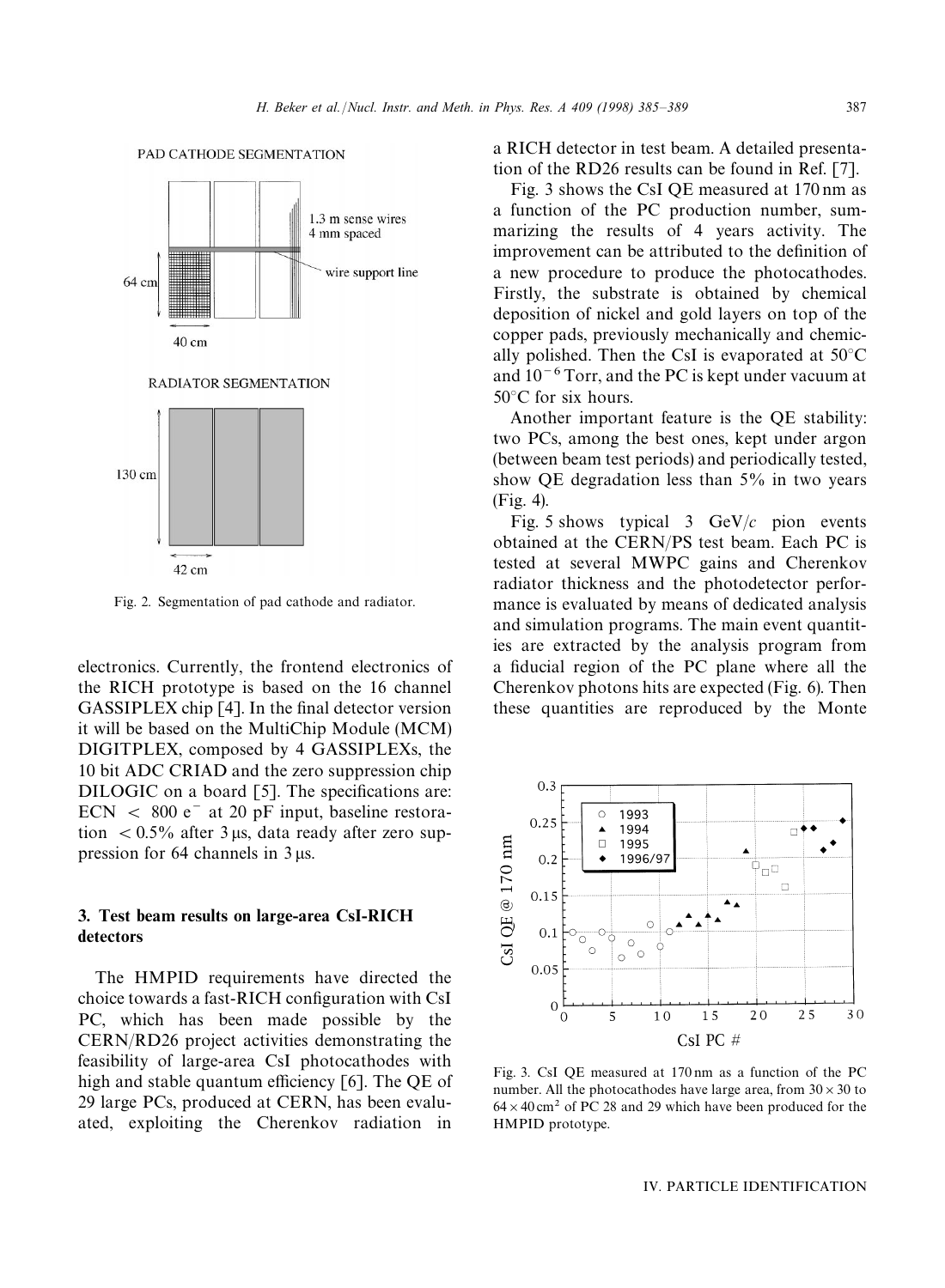

Fig. 2. Segmentation of pad cathode and radiator.

electronics. Currently, the frontend electronics of the RICH prototype is based on the 16 channel GASSIPLEX chip [4]. In the final detector version it will be based on the MultiChip Module (MCM) DIGITPLEX, composed by 4 GASSIPLEXs, the 10 bit ADC CRIAD and the zero suppression chip DILOGIC on a board [5]. The specifications are:  $ECN < 800 e^-$  at 20 pF input, baseline restoration  $< 0.5\%$  after 3 µs, data ready after zero suppression for  $64$  channels in  $3 \mu s$ .

# 3. Test beam results on large-area CsI-RICH detectors

The HMPID requirements have directed the choice towards a fast-RICH configuration with CsI PC, which has been made possible by the CERN/RD26 project activities demonstrating the feasibility of large-area CsI photocathodes with high and stable quantum efficiency [6]. The QE of 29 large PCs, produced at CERN, has been evaluated, exploiting the Cherenkov radiation in a RICH detector in test beam. A detailed presentation of the RD26 results can be found in Ref. [7].

Fig. 3 shows the CsI QE measured at 170 nm as a function of the PC production number, summarizing the results of 4 years activity. The improvement can be attributed to the definition of a new procedure to produce the photocathodes. Firstly, the substrate is obtained by chemical deposition of nickel and gold layers on top of the copper pads, previously mechanically and chemically polished. Then the CsI is evaporated at 50*°*C and  $10^{-6}$  Torr, and the PC is kept under vacuum at 50*°*C for six hours.

Another important feature is the QE stability: two PCs, among the best ones, kept under argon (between beam test periods) and periodically tested, show QE degradation less than 5% in two years (Fig. 4).

Fig. 5 shows typical 3 GeV/*c* pion events obtained at the CERN/PS test beam. Each PC is tested at several MWPC gains and Cherenkov radiator thickness and the photodetector performance is evaluated by means of dedicated analysis and simulation programs. The main event quantities are extracted by the analysis program from a fiducial region of the PC plane where all the Cherenkov photons hits are expected (Fig. 6). Then these quantities are reproduced by the Monte



Fig. 3. CsI QE measured at 170 nm as a function of the PC number. All the photocathodes have large area, from  $30 \times 30$  to  $64 \times 40$  cm<sup>2</sup> of PC 28 and 29 which have been produced for the HMPID prototype.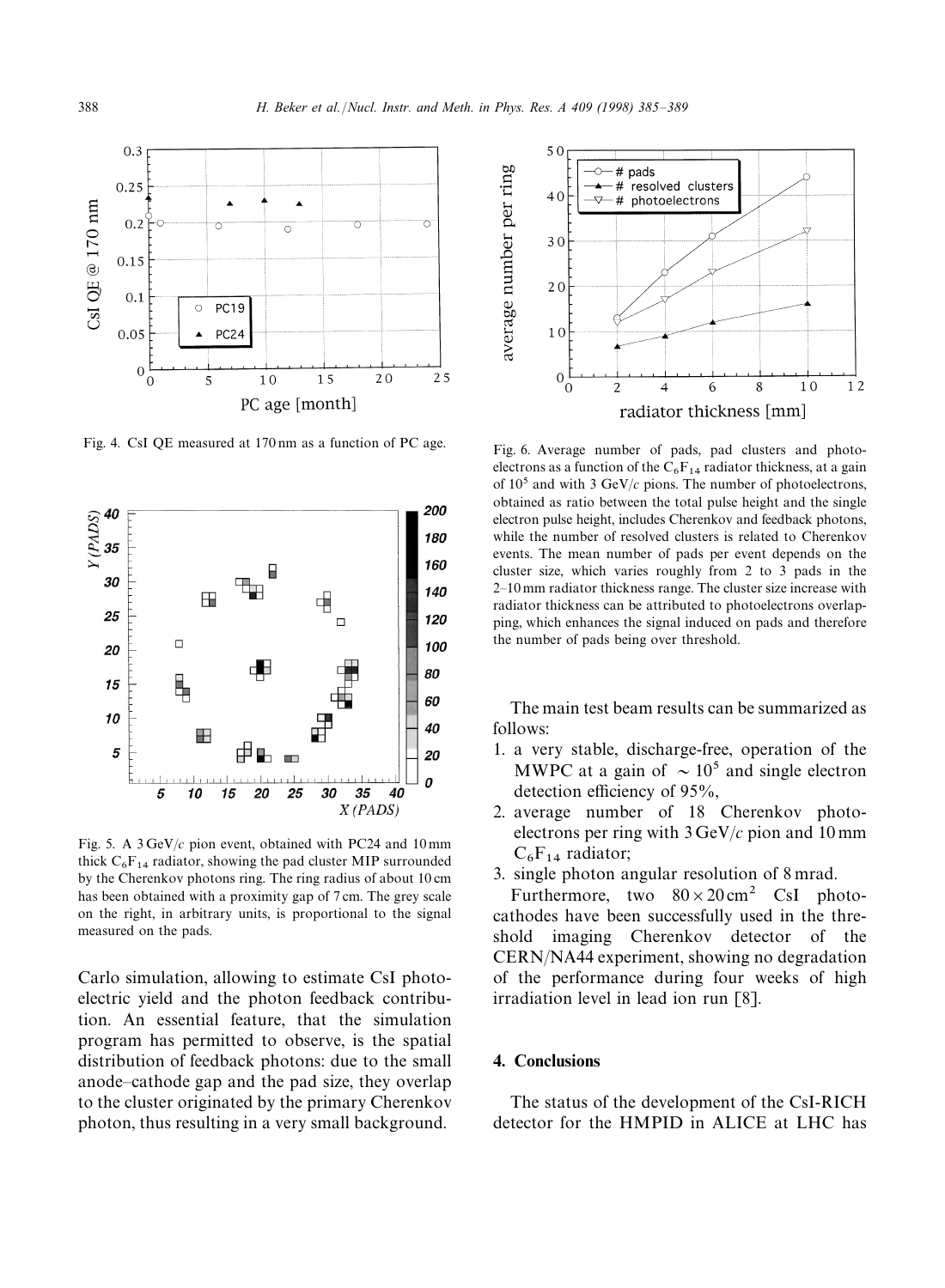

Fig. 4. CsI QE measured at 170 nm as a function of PC age.<br>Fig. 6. Average number of pads, pad clusters and photo-



Fig. 5. A 3 GeV/*c* pion event, obtained with PC24 and 10 mm thick  $C_6F_{14}$  radiator, showing the pad cluster MIP surrounded by the Cherenkov photons ring. The ring radius of about 10 cm has been obtained with a proximity gap of 7 cm. The grey scale on the right, in arbitrary units, is proportional to the signal measured on the pads.

Carlo simulation, allowing to estimate CsI photoelectric yield and the photon feedback contribution. An essential feature, that the simulation program has permitted to observe, is the spatial distribution of feedback photons: due to the small anode*—*cathode gap and the pad size, they overlap to the cluster originated by the primary Cherenkov photon, thus resulting in a very small background.



electrons as a function of the  $C_6F_{14}$  radiator thickness, at a gain of 105 and with 3 GeV/*c* pions. The number of photoelectrons, obtained as ratio between the total pulse height and the single electron pulse height, includes Cherenkov and feedback photons, while the number of resolved clusters is related to Cherenkov events. The mean number of pads per event depends on the cluster size, which varies roughly from 2 to 3 pads in the 2*—*10 mm radiator thickness range. The cluster size increase with radiator thickness can be attributed to photoelectrons overlapping, which enhances the signal induced on pads and therefore the number of pads being over threshold.

The main test beam results can be summarized as follows:

- 1. a very stable, discharge-free, operation of the MWPC at a gain of  $\sim 10^5$  and single electron detection efficiency of 95%,
- 2. average number of 18 Cherenkov photoelectrons per ring with 3 GeV/*c* pion and 10 mm  $C_6F_{14}$  radiator;
- 3. single photon angular resolution of 8 mrad.

Furthermore, two  $80 \times 20 \text{ cm}^2$  CsI photocathodes have been successfully used in the threshold imaging Cherenkov detector of the CERN/NA44 experiment, showing no degradation of the performance during four weeks of high irradiation level in lead ion run [8].

# 4. Conclusions

The status of the development of the CsI-RICH detector for the HMPID in ALICE at LHC has